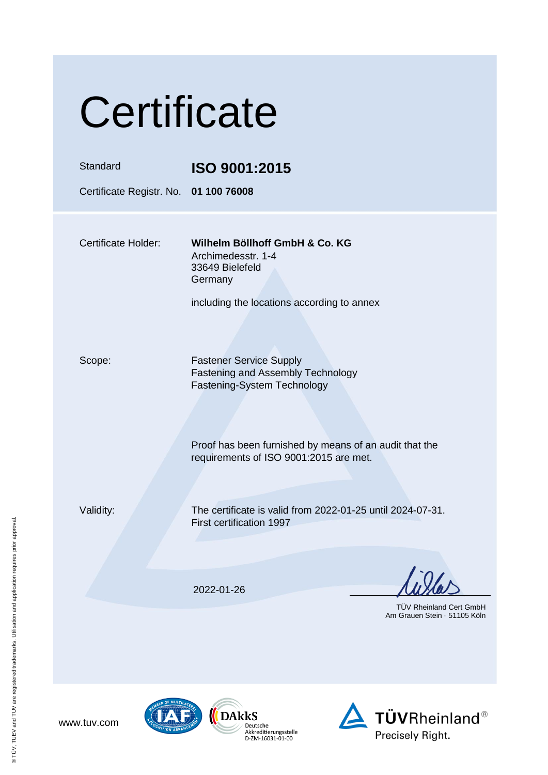| Certificate                           |                                                                                                           |  |
|---------------------------------------|-----------------------------------------------------------------------------------------------------------|--|
| Standard                              | ISO 9001:2015                                                                                             |  |
| Certificate Registr. No. 01 100 76008 |                                                                                                           |  |
| <b>Certificate Holder:</b>            | Wilhelm Böllhoff GmbH & Co. KG<br>Archimedesstr. 1-4<br>33649 Bielefeld<br>Germany                        |  |
|                                       | including the locations according to annex                                                                |  |
| Scope:                                | <b>Fastener Service Supply</b><br><b>Fastening and Assembly Technology</b><br>Fastening-System Technology |  |
|                                       | Proof has been furnished by means of an audit that the<br>requirements of ISO 9001:2015 are met.          |  |
| Validity:                             | The certificate is valid from 2022-01-25 until 2024-07-31.<br><b>First certification 1997</b>             |  |
|                                       | 2022-01-26<br><b>TUV Rheinland Cert GmbH</b>                                                              |  |
|                                       | Am Grauen Stein - 51105 Köln                                                                              |  |

® TÜV, TUEV and TUV are registered trademarks. Utilisation and application requires prior approval.





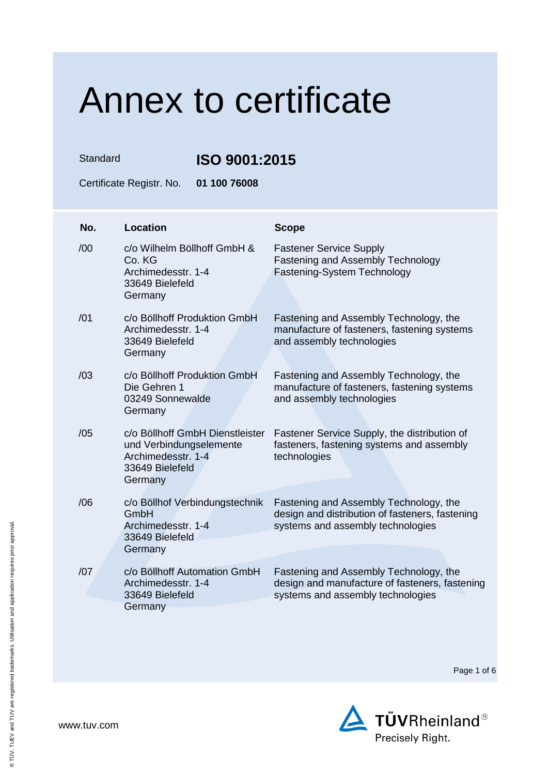Standard **ISO 9001:2015**

Certificate Registr. No. **01 100 76008**

| No. | <b>Location</b>                                                                                                | <b>Scope</b>                                                                                                                   |
|-----|----------------------------------------------------------------------------------------------------------------|--------------------------------------------------------------------------------------------------------------------------------|
| /00 | c/o Wilhelm Böllhoff GmbH &<br>Co. KG<br>Archimedesstr. 1-4<br>33649 Bielefeld<br>Germany                      | <b>Fastener Service Supply</b><br>Fastening and Assembly Technology<br>Fastening-System Technology                             |
| /01 | c/o Böllhoff Produktion GmbH<br>Archimedesstr. 1-4<br>33649 Bielefeld<br>Germany                               | Fastening and Assembly Technology, the<br>manufacture of fasteners, fastening systems<br>and assembly technologies             |
| /03 | c/o Böllhoff Produktion GmbH<br>Die Gehren 1<br>03249 Sonnewalde<br>Germany                                    | Fastening and Assembly Technology, the<br>manufacture of fasteners, fastening systems<br>and assembly technologies             |
| /05 | c/o Böllhoff GmbH Dienstleister<br>und Verbindungselemente<br>Archimedesstr, 1-4<br>33649 Bielefeld<br>Germany | Fastener Service Supply, the distribution of<br>fasteners, fastening systems and assembly<br>technologies                      |
| /06 | c/o Böllhof Verbindungstechnik<br>GmbH<br>Archimedesstr. 1-4<br>33649 Bielefeld<br>Germany                     | Fastening and Assembly Technology, the<br>design and distribution of fasteners, fastening<br>systems and assembly technologies |
| /07 | c/o Böllhoff Automation GmbH<br>Archimedesstr. 1-4<br>33649 Bielefeld<br>Germany                               | Fastening and Assembly Technology, the<br>design and manufacture of fasteners, fastening<br>systems and assembly technologies  |

Page 1 of 6



www.tuv.com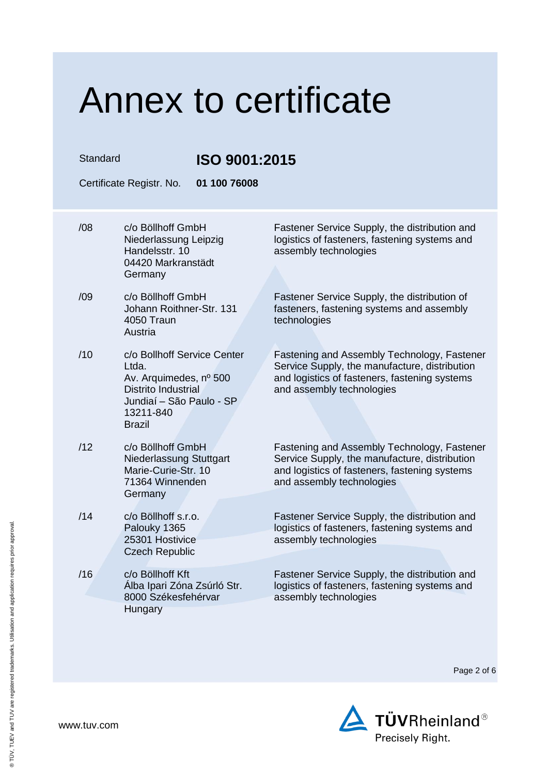| Standard | Certificate Registr. No.<br>01 100 76008                                                                                                               | ISO 9001:2015                                                                                                                                                              |  |
|----------|--------------------------------------------------------------------------------------------------------------------------------------------------------|----------------------------------------------------------------------------------------------------------------------------------------------------------------------------|--|
| /08      | c/o Böllhoff GmbH<br>Niederlassung Leipzig<br>Handelsstr. 10<br>04420 Markranstädt<br>Germany                                                          | Fastener Service Supply, the distribution and<br>logistics of fasteners, fastening systems and<br>assembly technologies                                                    |  |
| /09      | c/o Böllhoff GmbH<br>Johann Roithner-Str. 131<br>4050 Traun<br>Austria                                                                                 | Fastener Service Supply, the distribution of<br>fasteners, fastening systems and assembly<br>technologies                                                                  |  |
| /10      | c/o Bollhoff Service Center<br>Ltda.<br>Av. Arquimedes, nº 500<br><b>Distrito Industrial</b><br>Jundiaí - São Paulo - SP<br>13211-840<br><b>Brazil</b> | Fastening and Assembly Technology, Fastener<br>Service Supply, the manufacture, distribution<br>and logistics of fasteners, fastening systems<br>and assembly technologies |  |
| /12      | c/o Böllhoff GmbH<br>Niederlassung Stuttgart<br>Marie-Curie-Str. 10<br>71364 Winnenden<br>Germany                                                      | Fastening and Assembly Technology, Fastener<br>Service Supply, the manufacture, distribution<br>and logistics of fasteners, fastening systems<br>and assembly technologies |  |
| /14      | c/o Böllhoff s.r.o.<br>Palouky 1365<br>25301 Hostivice<br><b>Czech Republic</b>                                                                        | Fastener Service Supply, the distribution and<br>logistics of fasteners, fastening systems and<br>assembly technologies                                                    |  |
| /16      | c/o Böllhoff Kft<br>Álba Ipari Zóna Zsúrló Str.<br>8000 Székesfehérvar<br>Hungary                                                                      | Fastener Service Supply, the distribution and<br>logistics of fasteners, fastening systems and<br>assembly technologies                                                    |  |

Page 2 of 6

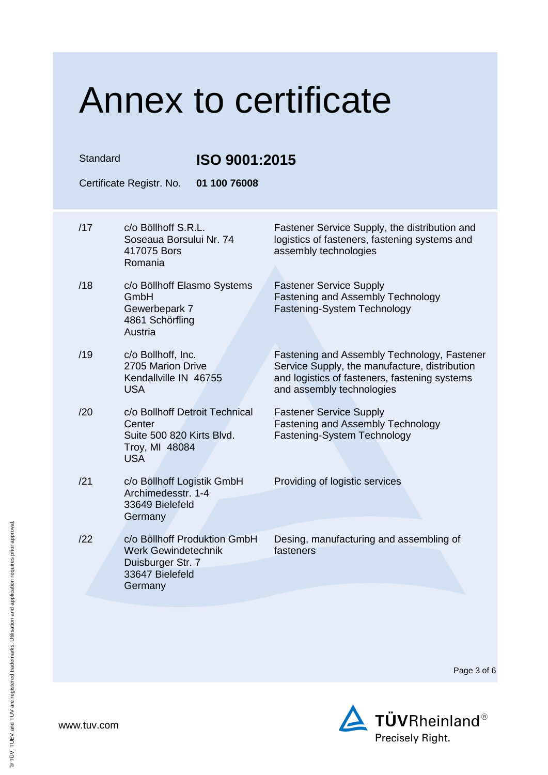| Standard<br>ISO 9001:2015 |                                                                                                               |                                                                                                                                                                            |
|---------------------------|---------------------------------------------------------------------------------------------------------------|----------------------------------------------------------------------------------------------------------------------------------------------------------------------------|
|                           | 01 100 76008<br>Certificate Registr. No.                                                                      |                                                                                                                                                                            |
| /17                       | c/o Böllhoff S.R.L.<br>Soseaua Borsului Nr. 74<br>417075 Bors<br>Romania                                      | Fastener Service Supply, the distribution and<br>logistics of fasteners, fastening systems and<br>assembly technologies                                                    |
| /18                       | c/o Böllhoff Elasmo Systems<br>GmbH<br>Gewerbepark 7<br>4861 Schörfling<br>Austria                            | <b>Fastener Service Supply</b><br>Fastening and Assembly Technology<br>Fastening-System Technology                                                                         |
| /19                       | c/o Bollhoff, Inc.<br>2705 Marion Drive<br>Kendallville IN 46755<br><b>USA</b>                                | Fastening and Assembly Technology, Fastener<br>Service Supply, the manufacture, distribution<br>and logistics of fasteners, fastening systems<br>and assembly technologies |
| /20                       | c/o Bollhoff Detroit Technical<br>Center<br>Suite 500 820 Kirts Blvd.<br>Troy, MI 48084<br><b>USA</b>         | <b>Fastener Service Supply</b><br><b>Fastening and Assembly Technology</b><br>Fastening-System Technology                                                                  |
| /21                       | c/o Böllhoff Logistik GmbH<br>Archimedesstr. 1-4<br>33649 Bielefeld<br>Germany                                | Providing of logistic services                                                                                                                                             |
| /22                       | c/o Böllhoff Produktion GmbH<br><b>Werk Gewindetechnik</b><br>Duisburger Str. 7<br>33647 Bielefeld<br>Germany | Desing, manufacturing and assembling of<br>fasteners                                                                                                                       |

Page 3 of 6

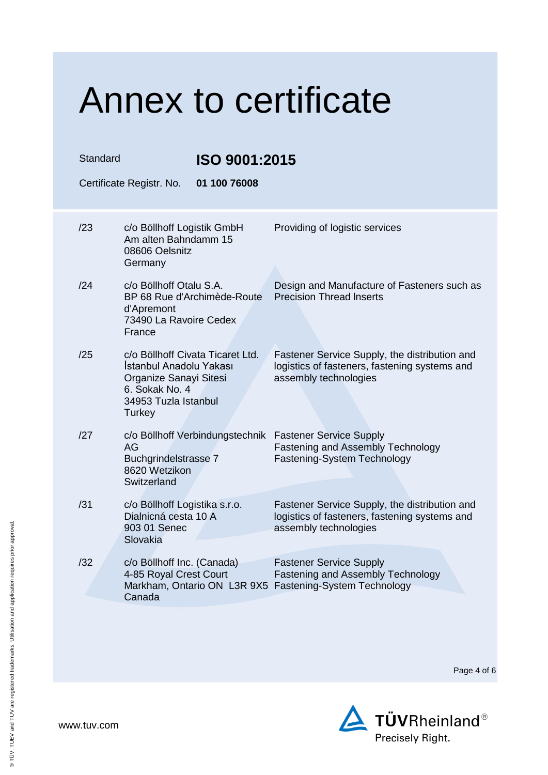| Standard                                 | ISO 9001:2015                                                                                                                             |                                                                                                                         |  |  |
|------------------------------------------|-------------------------------------------------------------------------------------------------------------------------------------------|-------------------------------------------------------------------------------------------------------------------------|--|--|
| 01 100 76008<br>Certificate Registr. No. |                                                                                                                                           |                                                                                                                         |  |  |
| /23                                      | c/o Böllhoff Logistik GmbH<br>Am alten Bahndamm 15<br>08606 Oelsnitz<br>Germany                                                           | Providing of logistic services                                                                                          |  |  |
| /24                                      | c/o Böllhoff Otalu S.A.<br>BP 68 Rue d'Archimède-Route<br>d'Apremont<br>73490 La Ravoire Cedex<br>France                                  | Design and Manufacture of Fasteners such as<br><b>Precision Thread Inserts</b>                                          |  |  |
| /25                                      | c/o Böllhoff Civata Ticaret Ltd.<br>İstanbul Anadolu Yakası<br>Organize Sanayi Sitesi<br>6. Sokak No. 4<br>34953 Tuzla Istanbul<br>Turkey | Fastener Service Supply, the distribution and<br>logistics of fasteners, fastening systems and<br>assembly technologies |  |  |
| /27                                      | c/o Böllhoff Verbindungstechnik<br>AG<br>Buchgrindelstrasse 7<br>8620 Wetzikon<br>Switzerland                                             | <b>Fastener Service Supply</b><br>Fastening and Assembly Technology<br><b>Fastening-System Technology</b>               |  |  |
| /31                                      | c/o Böllhoff Logistika s.r.o.<br>Dialnicná cesta 10 A<br>903 01 Senec<br>Slovakia                                                         | Fastener Service Supply, the distribution and<br>logistics of fasteners, fastening systems and<br>assembly technologies |  |  |
| /32                                      | c/o Böllhoff Inc. (Canada)<br>4-85 Royal Crest Court<br>Markham, Ontario ON L3R 9X5 Fastening-System Technology<br>Canada                 | <b>Fastener Service Supply</b><br>Fastening and Assembly Technology                                                     |  |  |

Page 4 of 6

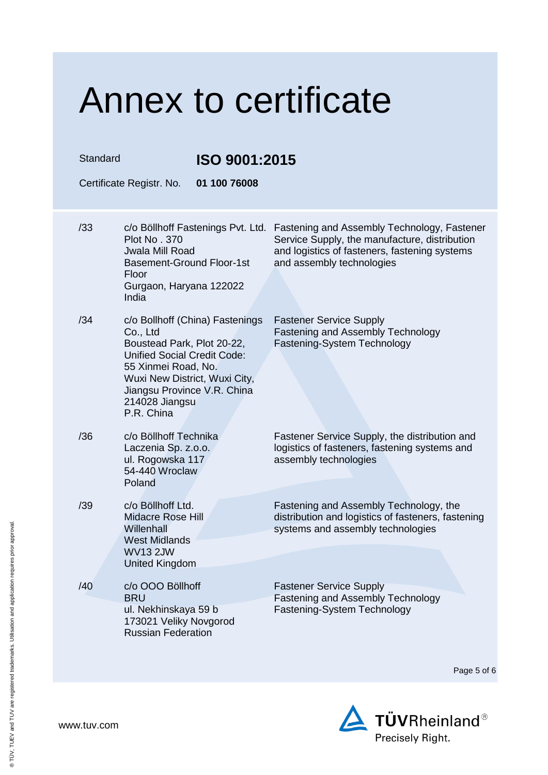| Standard | ISO 9001:2015                                                                                                                                                                                                                          |                                                                                                                                                                            |
|----------|----------------------------------------------------------------------------------------------------------------------------------------------------------------------------------------------------------------------------------------|----------------------------------------------------------------------------------------------------------------------------------------------------------------------------|
|          | 01 100 76008<br>Certificate Registr. No.                                                                                                                                                                                               |                                                                                                                                                                            |
| /33      | c/o Böllhoff Fastenings Pvt. Ltd.<br><b>Plot No. 370</b><br>Jwala Mill Road<br><b>Basement-Ground Floor-1st</b><br>Floor<br>Gurgaon, Haryana 122022<br>India                                                                           | Fastening and Assembly Technology, Fastener<br>Service Supply, the manufacture, distribution<br>and logistics of fasteners, fastening systems<br>and assembly technologies |
| /34      | c/o Bollhoff (China) Fastenings<br>Co., Ltd<br>Boustead Park, Plot 20-22,<br><b>Unified Social Credit Code:</b><br>55 Xinmei Road, No.<br>Wuxi New District, Wuxi City,<br>Jiangsu Province V.R. China<br>214028 Jiangsu<br>P.R. China | <b>Fastener Service Supply</b><br><b>Fastening and Assembly Technology</b><br>Fastening-System Technology                                                                  |
| /36      | c/o Böllhoff Technika<br>Laczenia Sp. z.o.o.<br>ul. Rogowska 117<br>54-440 Wroclaw<br>Poland                                                                                                                                           | Fastener Service Supply, the distribution and<br>logistics of fasteners, fastening systems and<br>assembly technologies                                                    |
| /39      | c/o Böllhoff Ltd.<br><b>Midacre Rose Hill</b><br>Willenhall<br><b>West Midlands</b><br><b>WV13 2JW</b><br><b>United Kingdom</b>                                                                                                        | Fastening and Assembly Technology, the<br>distribution and logistics of fasteners, fastening<br>systems and assembly technologies                                          |
| /40      | c/o OOO Böllhoff<br><b>BRU</b><br>ul. Nekhinskaya 59 b<br>173021 Veliky Novgorod<br><b>Russian Federation</b>                                                                                                                          | <b>Fastener Service Supply</b><br>Fastening and Assembly Technology<br>Fastening-System Technology                                                                         |

Page 5 of 6



www.tuv.com